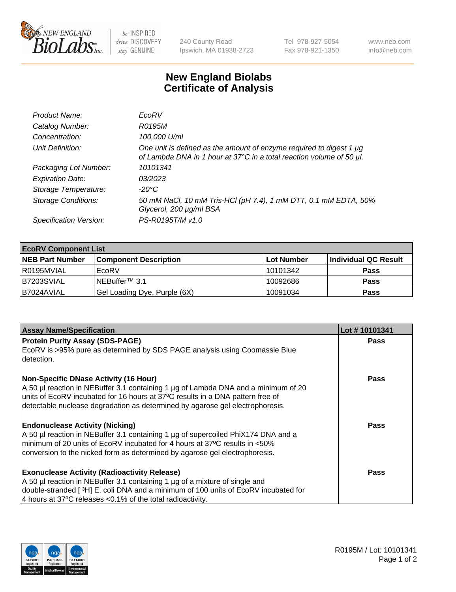

be INSPIRED drive DISCOVERY stay GENUINE

240 County Road Ipswich, MA 01938-2723 Tel 978-927-5054 Fax 978-921-1350 www.neb.com info@neb.com

## **New England Biolabs Certificate of Analysis**

| Product Name:              | EcoRV                                                                                                                                       |
|----------------------------|---------------------------------------------------------------------------------------------------------------------------------------------|
| Catalog Number:            | R0195M                                                                                                                                      |
| Concentration:             | 100,000 U/ml                                                                                                                                |
| Unit Definition:           | One unit is defined as the amount of enzyme required to digest 1 µg<br>of Lambda DNA in 1 hour at 37°C in a total reaction volume of 50 µl. |
| Packaging Lot Number:      | 10101341                                                                                                                                    |
| <b>Expiration Date:</b>    | 0.3/202.3                                                                                                                                   |
| Storage Temperature:       | -20°C                                                                                                                                       |
| <b>Storage Conditions:</b> | 50 mM NaCl, 10 mM Tris-HCl (pH 7.4), 1 mM DTT, 0.1 mM EDTA, 50%<br>Glycerol, 200 µg/ml BSA                                                  |
| Specification Version:     | PS-R0195T/M v1.0                                                                                                                            |

| <b>EcoRV Component List</b> |                              |            |                      |  |  |
|-----------------------------|------------------------------|------------|----------------------|--|--|
| <b>NEB Part Number</b>      | <b>Component Description</b> | Lot Number | Individual QC Result |  |  |
| l R0195MVIAL                | EcoRV                        | 10101342   | <b>Pass</b>          |  |  |
| B7203SVIAL                  | INEBuffer™ 3.1               | 10092686   | <b>Pass</b>          |  |  |
| B7024AVIAL                  | Gel Loading Dye, Purple (6X) | 10091034   | <b>Pass</b>          |  |  |

| <b>Assay Name/Specification</b>                                                                                                                                 | Lot #10101341 |
|-----------------------------------------------------------------------------------------------------------------------------------------------------------------|---------------|
| <b>Protein Purity Assay (SDS-PAGE)</b>                                                                                                                          | <b>Pass</b>   |
| EcoRV is >95% pure as determined by SDS PAGE analysis using Coomassie Blue<br>detection.                                                                        |               |
| <b>Non-Specific DNase Activity (16 Hour)</b>                                                                                                                    | Pass          |
| A 50 µl reaction in NEBuffer 3.1 containing 1 µg of Lambda DNA and a minimum of 20                                                                              |               |
| units of EcoRV incubated for 16 hours at 37°C results in a DNA pattern free of<br>detectable nuclease degradation as determined by agarose gel electrophoresis. |               |
|                                                                                                                                                                 |               |
| <b>Endonuclease Activity (Nicking)</b>                                                                                                                          | Pass          |
| A 50 µl reaction in NEBuffer 3.1 containing 1 µg of supercoiled PhiX174 DNA and a                                                                               |               |
| I minimum of 20 units of EcoRV incubated for 4 hours at 37°C results in <50%<br>conversion to the nicked form as determined by agarose gel electrophoresis.     |               |
|                                                                                                                                                                 |               |
| <b>Exonuclease Activity (Radioactivity Release)</b>                                                                                                             | Pass          |
| A 50 µl reaction in NEBuffer 3.1 containing 1 µg of a mixture of single and                                                                                     |               |
| double-stranded [ <sup>3</sup> H] E. coli DNA and a minimum of 100 units of EcoRV incubated for                                                                 |               |
| 4 hours at 37°C releases < 0.1% of the total radioactivity.                                                                                                     |               |